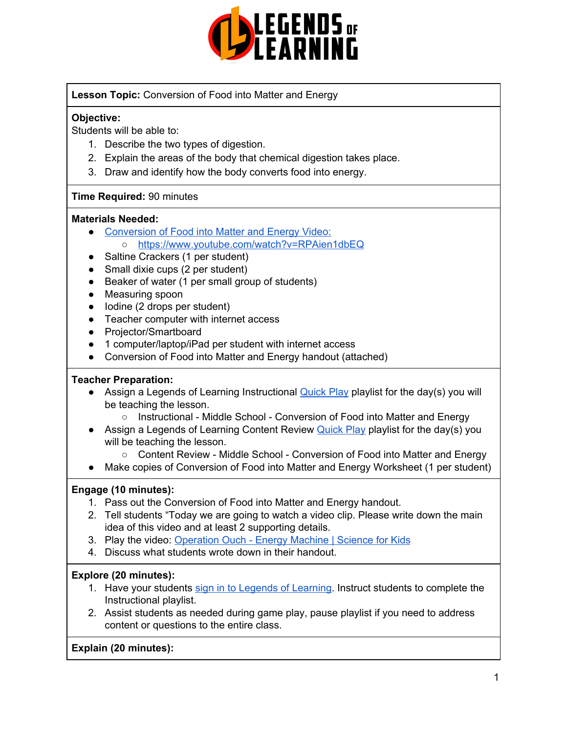

**Lesson Topic:** Conversion of Food into Matter and Energy

# **Objective:**

Students will be able to:

- 1. Describe the two types of digestion.
- 2. Explain the areas of the body that chemical digestion takes place.
- 3. Draw and identify how the body converts food into energy.

## **Time Required:** 90 minutes

### **Materials Needed:**

- [Conversion](https://www.youtube.com/watch?v=RPAien1dbEQ) of Food into Matter and Energy Video: o <https://www.youtube.com/watch?v=RPAien1dbEQ>
- Saltine Crackers (1 per student)
- Small dixie cups (2 per student)
- Beaker of water (1 per small group of students)
- Measuring spoon
- lodine (2 drops per student)
- Teacher computer with internet access
- Projector/Smartboard
- 1 computer/laptop/iPad per student with internet access
- Conversion of Food into Matter and Energy handout (attached)

### **Teacher Preparation:**

- Assign a Legends of Learning Instructional **[Quick](https://intercom.help/legends-of-learning/en/articles/2701866-assigning-a-quick-play-playlist) Play playlist for the day(s)** you will be teaching the lesson.
	- Instructional Middle School Conversion of Food into Matter and Energy
- Assign a Legends of Learning Content Review **[Quick](https://intercom.help/legends-of-learning/en/articles/2701866-assigning-a-quick-play-playlist) Play playlist for the day(s)** you will be teaching the lesson.
	- Content Review Middle School Conversion of Food into Matter and Energy
- Make copies of Conversion of Food into Matter and Energy Worksheet (1 per student)

### **Engage (10 minutes):**

- 1. Pass out the Conversion of Food into Matter and Energy handout.
- 2. Tell students "Today we are going to watch a video clip. Please write down the main idea of this video and at least 2 supporting details.
- 3. Play the video: [Operation](https://www.youtube.com/watch?v=RPAien1dbEQ) Ouch Energy Machine | Science for Kids
- 4. Discuss what students wrote down in their handout.

# **Explore (20 minutes):**

- 1. Have your students sign in to Legends of [Learning](https://intercom.help/legends-of-learning/en/articles/2154920-students-joining-a-playlist). Instruct students to complete the Instructional playlist.
- 2. Assist students as needed during game play, pause playlist if you need to address content or questions to the entire class.

# **Explain (20 minutes):**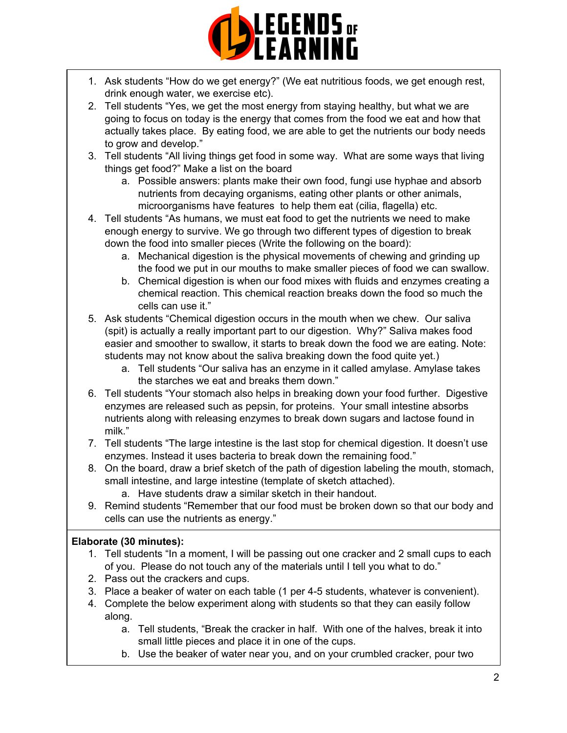

- 1. Ask students "How do we get energy?" (We eat nutritious foods, we get enough rest, drink enough water, we exercise etc).
- 2. Tell students "Yes, we get the most energy from staying healthy, but what we are going to focus on today is the energy that comes from the food we eat and how that actually takes place. By eating food, we are able to get the nutrients our body needs to grow and develop."
- 3. Tell students "All living things get food in some way. What are some ways that living things get food?" Make a list on the board
	- a. Possible answers: plants make their own food, fungi use hyphae and absorb nutrients from decaying organisms, eating other plants or other animals, microorganisms have features to help them eat (cilia, flagella) etc.
- 4. Tell students "As humans, we must eat food to get the nutrients we need to make enough energy to survive. We go through two different types of digestion to break down the food into smaller pieces (Write the following on the board):
	- a. Mechanical digestion is the physical movements of chewing and grinding up the food we put in our mouths to make smaller pieces of food we can swallow.
	- b. Chemical digestion is when our food mixes with fluids and enzymes creating a chemical reaction. This chemical reaction breaks down the food so much the cells can use it."
- 5. Ask students "Chemical digestion occurs in the mouth when we chew. Our saliva (spit) is actually a really important part to our digestion. Why?" Saliva makes food easier and smoother to swallow, it starts to break down the food we are eating. Note: students may not know about the saliva breaking down the food quite yet.)
	- a. Tell students "Our saliva has an enzyme in it called amylase. Amylase takes the starches we eat and breaks them down."
- 6. Tell students "Your stomach also helps in breaking down your food further. Digestive enzymes are released such as pepsin, for proteins. Your small intestine absorbs nutrients along with releasing enzymes to break down sugars and lactose found in milk."
- 7. Tell students "The large intestine is the last stop for chemical digestion. It doesn't use enzymes. Instead it uses bacteria to break down the remaining food."
- 8. On the board, draw a brief sketch of the path of digestion labeling the mouth, stomach, small intestine, and large intestine (template of sketch attached).
	- a. Have students draw a similar sketch in their handout.
- 9. Remind students "Remember that our food must be broken down so that our body and cells can use the nutrients as energy."

# **Elaborate (30 minutes):**

- 1. Tell students "In a moment, I will be passing out one cracker and 2 small cups to each of you. Please do not touch any of the materials until I tell you what to do."
- 2. Pass out the crackers and cups.
- 3. Place a beaker of water on each table (1 per 4-5 students, whatever is convenient).
- 4. Complete the below experiment along with students so that they can easily follow along.
	- a. Tell students, "Break the cracker in half. With one of the halves, break it into small little pieces and place it in one of the cups.
	- b. Use the beaker of water near you, and on your crumbled cracker, pour two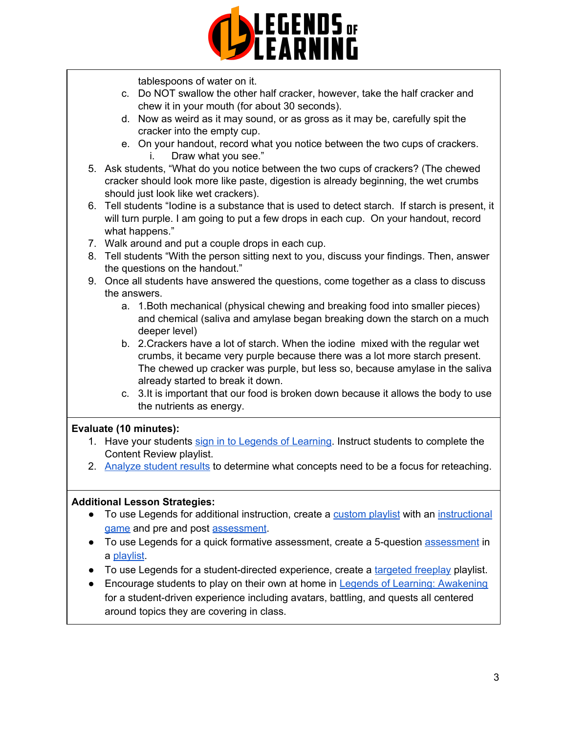

tablespoons of water on it.

- c. Do NOT swallow the other half cracker, however, take the half cracker and chew it in your mouth (for about 30 seconds).
- d. Now as weird as it may sound, or as gross as it may be, carefully spit the cracker into the empty cup.
- e. On your handout, record what you notice between the two cups of crackers. i. Draw what you see."
- 5. Ask students, "What do you notice between the two cups of crackers? (The chewed cracker should look more like paste, digestion is already beginning, the wet crumbs should just look like wet crackers).
- 6. Tell students "Iodine is a substance that is used to detect starch. If starch is present, it will turn purple. I am going to put a few drops in each cup. On your handout, record what happens."
- 7. Walk around and put a couple drops in each cup.
- 8. Tell students "With the person sitting next to you, discuss your findings. Then, answer the questions on the handout."
- 9. Once all students have answered the questions, come together as a class to discuss the answers.
	- a. 1.Both mechanical (physical chewing and breaking food into smaller pieces) and chemical (saliva and amylase began breaking down the starch on a much deeper level)
	- b. 2.Crackers have a lot of starch. When the iodine mixed with the regular wet crumbs, it became very purple because there was a lot more starch present. The chewed up cracker was purple, but less so, because amylase in the saliva already started to break it down.
	- c. 3.It is important that our food is broken down because it allows the body to use the nutrients as energy.

# **Evaluate (10 minutes):**

- 1. Have your students sign in to Legends of [Learning](https://intercom.help/legends-of-learning/en/articles/2154920-students-joining-a-playlist). Instruct students to complete the Content Review playlist.
- 2. [Analyze](https://intercom.help/legends-of-learning/en/articles/2154918-tracking-student-progress-and-performance) student results to determine what concepts need to be a focus for reteaching.

# **Additional Lesson Strategies:**

- To use Legends for additional instruction, create a [custom](https://intercom.help/legends-of-learning/en/articles/2154910-creating-a-playlist) playlist with an [instructional](https://intercom.help/legends-of-learning/en/articles/3505828-types-of-games) [game](https://intercom.help/legends-of-learning/en/articles/3505828-types-of-games) and pre and post [assessment](https://intercom.help/legends-of-learning/en/articles/2154913-adding-assessments-to-a-playlist).
- To use Legends for a quick formative [assessment](https://intercom.help/legends-of-learning/en/articles/2154913-adding-assessments-to-a-playlist), create a 5-question assessment in a [playlist](https://intercom.help/legends-of-learning/en/articles/2154910-creating-a-playlist).
- To use Legends for a student-directed experience, create a [targeted](https://intercom.help/legends-of-learning/en/articles/3340814-targeted-freeplay) freeplay playlist.
- Encourage students to play on their own at home in Legends of Learning: [Awakening](https://intercom.help/legends-of-learning/en/articles/2425490-legends-of-learning-awakening) for a student-driven experience including avatars, battling, and quests all centered around topics they are covering in class.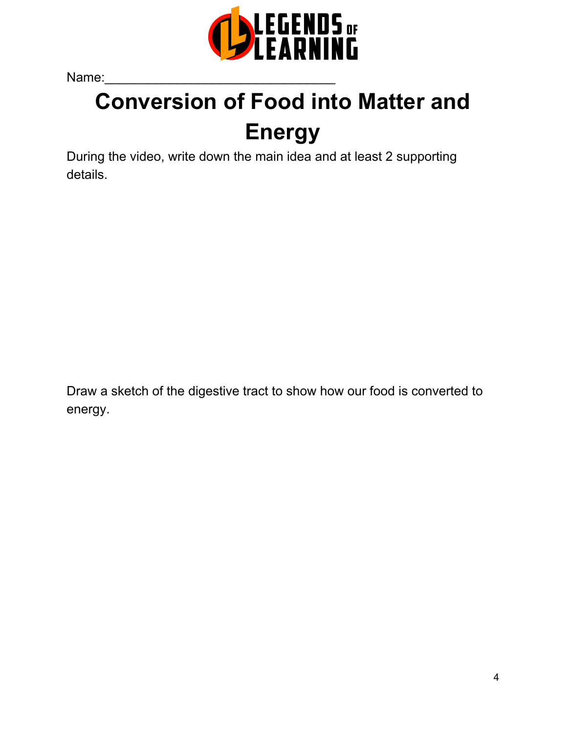

Name:\_\_\_\_\_\_\_\_\_\_\_\_\_\_\_\_\_\_\_\_\_\_\_\_\_\_\_\_\_\_\_\_

# **Conversion of Food into Matter and Energy**

During the video, write down the main idea and at least 2 supporting details.

Draw a sketch of the digestive tract to show how our food is converted to energy.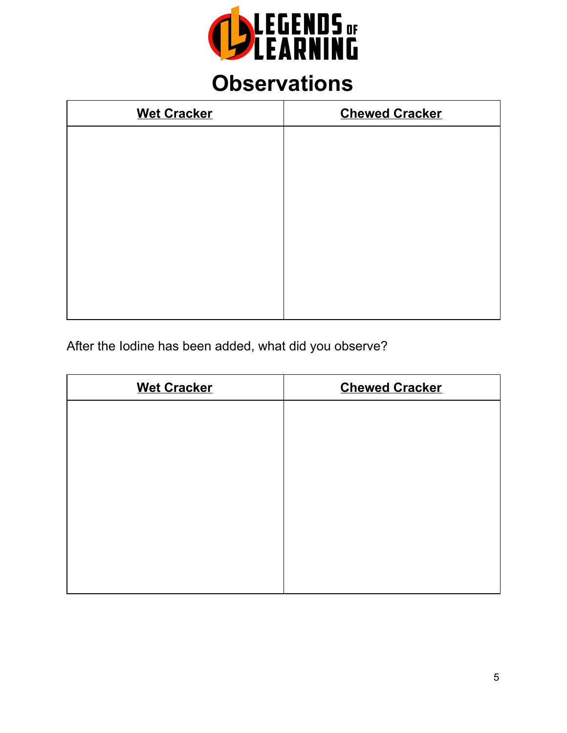

# **Observations**

| <b>Wet Cracker</b> | <b>Chewed Cracker</b> |
|--------------------|-----------------------|
|                    |                       |
|                    |                       |
|                    |                       |
|                    |                       |
|                    |                       |
|                    |                       |
|                    |                       |
|                    |                       |

After the Iodine has been added, what did you observe?

| <b>Wet Cracker</b> | <b>Chewed Cracker</b> |
|--------------------|-----------------------|
|                    |                       |
|                    |                       |
|                    |                       |
|                    |                       |
|                    |                       |
|                    |                       |
|                    |                       |
|                    |                       |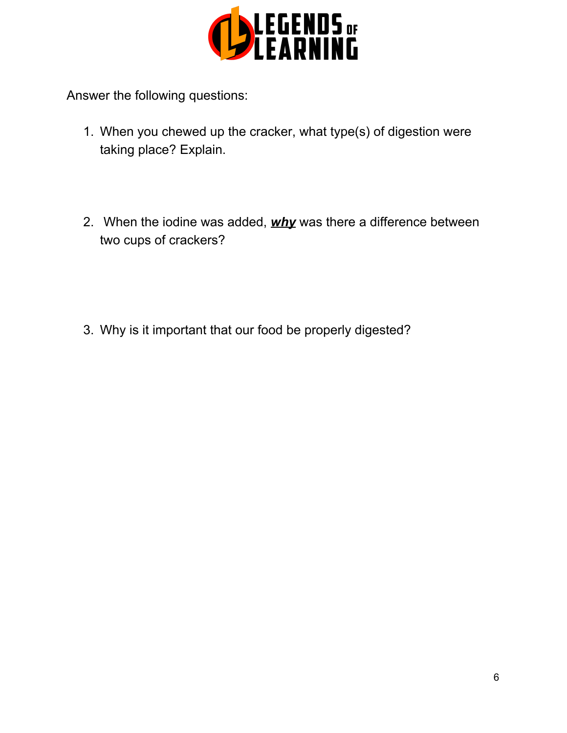

Answer the following questions:

- 1. When you chewed up the cracker, what type(s) of digestion were taking place? Explain.
- 2. When the iodine was added, *why* was there a difference between two cups of crackers?

3. Why is it important that our food be properly digested?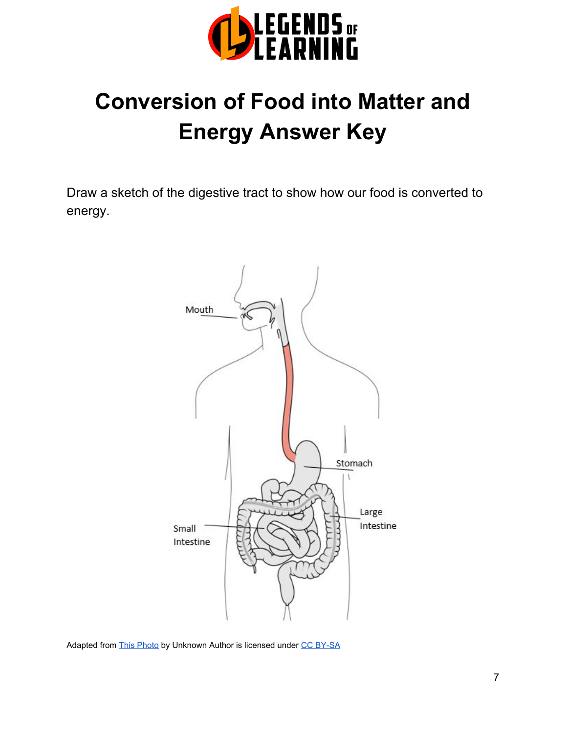

# **Conversion of Food into Matter and Energy Answer Key**

Draw a sketch of the digestive tract to show how our food is converted to energy.



Adapted from [This Photo](https://en.wikipedia.org/wiki/Esophagus) by Unknown Author is licensed under [CC BY-SA](https://creativecommons.org/licenses/by-sa/3.0/)